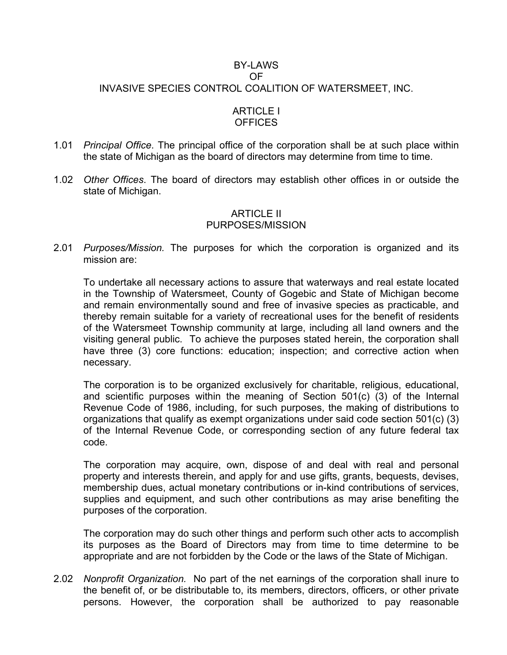# BY-LAWS OF INVASIVE SPECIES CONTROL COALITION OF WATERSMEET, INC.

## ARTICLE I **OFFICES**

- 1.01 *Principal Office*. The principal office of the corporation shall be at such place within the state of Michigan as the board of directors may determine from time to time.
- 1.02 *Other Offices*. The board of directors may establish other offices in or outside the state of Michigan.

## ARTICLE II PURPOSES/MISSION

2.01 *Purposes/Mission.* The purposes for which the corporation is organized and its mission are:

To undertake all necessary actions to assure that waterways and real estate located in the Township of Watersmeet, County of Gogebic and State of Michigan become and remain environmentally sound and free of invasive species as practicable, and thereby remain suitable for a variety of recreational uses for the benefit of residents of the Watersmeet Township community at large, including all land owners and the visiting general public. To achieve the purposes stated herein, the corporation shall have three (3) core functions: education; inspection; and corrective action when necessary.

The corporation is to be organized exclusively for charitable, religious, educational, and scientific purposes within the meaning of Section 501(c) (3) of the Internal Revenue Code of 1986, including, for such purposes, the making of distributions to organizations that qualify as exempt organizations under said code section 501(c) (3) of the Internal Revenue Code, or corresponding section of any future federal tax code.

The corporation may acquire, own, dispose of and deal with real and personal property and interests therein, and apply for and use gifts, grants, bequests, devises, membership dues, actual monetary contributions or in-kind contributions of services, supplies and equipment, and such other contributions as may arise benefiting the purposes of the corporation.

The corporation may do such other things and perform such other acts to accomplish its purposes as the Board of Directors may from time to time determine to be appropriate and are not forbidden by the Code or the laws of the State of Michigan.

2.02 *Nonprofit Organization.* No part of the net earnings of the corporation shall inure to the benefit of, or be distributable to, its members, directors, officers, or other private persons. However, the corporation shall be authorized to pay reasonable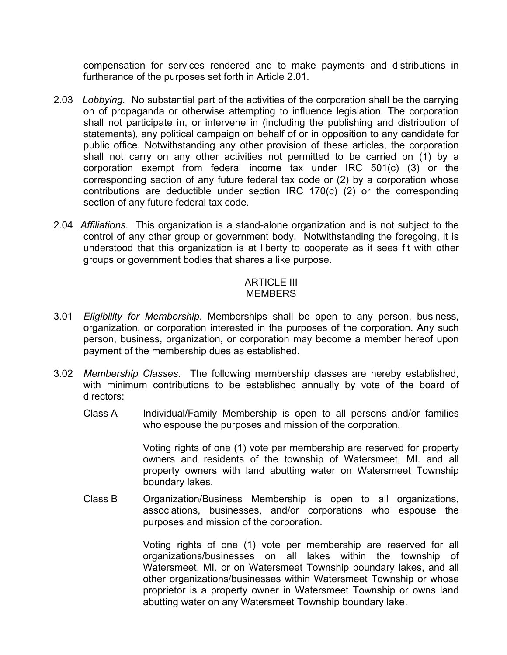compensation for services rendered and to make payments and distributions in furtherance of the purposes set forth in Article 2.01.

- 2.03 *Lobbying.* No substantial part of the activities of the corporation shall be the carrying on of propaganda or otherwise attempting to influence legislation. The corporation shall not participate in, or intervene in (including the publishing and distribution of statements), any political campaign on behalf of or in opposition to any candidate for public office. Notwithstanding any other provision of these articles, the corporation shall not carry on any other activities not permitted to be carried on (1) by a corporation exempt from federal income tax under IRC 501(c) (3) or the corresponding section of any future federal tax code or (2) by a corporation whose contributions are deductible under section IRC 170(c) (2) or the corresponding section of any future federal tax code.
- 2.04 *Affiliations.* This organization is a stand-alone organization and is not subject to the control of any other group or government body. Notwithstanding the foregoing, it is understood that this organization is at liberty to cooperate as it sees fit with other groups or government bodies that shares a like purpose.

### ARTICLE III **MEMBERS**

- 3.01 *Eligibility for Membership*. Memberships shall be open to any person, business, organization, or corporation interested in the purposes of the corporation. Any such person, business, organization, or corporation may become a member hereof upon payment of the membership dues as established.
- 3.02 *Membership Classes*. The following membership classes are hereby established, with minimum contributions to be established annually by vote of the board of directors:
	- Class A Individual/Family Membership is open to all persons and/or families who espouse the purposes and mission of the corporation.

Voting rights of one (1) vote per membership are reserved for property owners and residents of the township of Watersmeet, MI. and all property owners with land abutting water on Watersmeet Township boundary lakes.

Class B Organization/Business Membership is open to all organizations, associations, businesses, and/or corporations who espouse the purposes and mission of the corporation.

> Voting rights of one (1) vote per membership are reserved for all organizations/businesses on all lakes within the township of Watersmeet, MI. or on Watersmeet Township boundary lakes, and all other organizations/businesses within Watersmeet Township or whose proprietor is a property owner in Watersmeet Township or owns land abutting water on any Watersmeet Township boundary lake.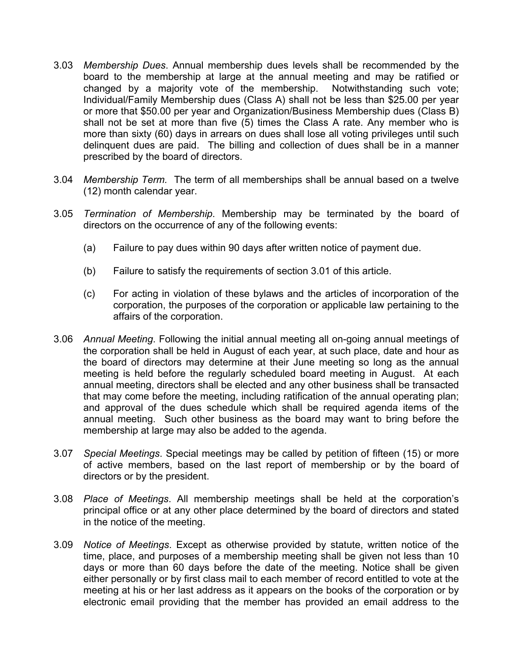- 3.03 *Membership Dues*. Annual membership dues levels shall be recommended by the board to the membership at large at the annual meeting and may be ratified or changed by a majority vote of the membership. Notwithstanding such vote; Individual/Family Membership dues (Class A) shall not be less than \$25.00 per year or more that \$50.00 per year and Organization/Business Membership dues (Class B) shall not be set at more than five (5) times the Class A rate. Any member who is more than sixty (60) days in arrears on dues shall lose all voting privileges until such delinquent dues are paid. The billing and collection of dues shall be in a manner prescribed by the board of directors.
- 3.04 *Membership Term.* The term of all memberships shall be annual based on a twelve (12) month calendar year.
- 3.05 *Termination of Membership*. Membership may be terminated by the board of directors on the occurrence of any of the following events:
	- (a) Failure to pay dues within 90 days after written notice of payment due.
	- (b) Failure to satisfy the requirements of section 3.01 of this article.
	- (c) For acting in violation of these bylaws and the articles of incorporation of the corporation, the purposes of the corporation or applicable law pertaining to the affairs of the corporation.
- 3.06 *Annual Meeting*. Following the initial annual meeting all on-going annual meetings of the corporation shall be held in August of each year, at such place, date and hour as the board of directors may determine at their June meeting so long as the annual meeting is held before the regularly scheduled board meeting in August. At each annual meeting, directors shall be elected and any other business shall be transacted that may come before the meeting, including ratification of the annual operating plan; and approval of the dues schedule which shall be required agenda items of the annual meeting. Such other business as the board may want to bring before the membership at large may also be added to the agenda.
- 3.07 *Special Meetings*. Special meetings may be called by petition of fifteen (15) or more of active members, based on the last report of membership or by the board of directors or by the president.
- 3.08 *Place of Meetings*. All membership meetings shall be held at the corporation's principal office or at any other place determined by the board of directors and stated in the notice of the meeting.
- 3.09 *Notice of Meetings*. Except as otherwise provided by statute, written notice of the time, place, and purposes of a membership meeting shall be given not less than 10 days or more than 60 days before the date of the meeting. Notice shall be given either personally or by first class mail to each member of record entitled to vote at the meeting at his or her last address as it appears on the books of the corporation or by electronic email providing that the member has provided an email address to the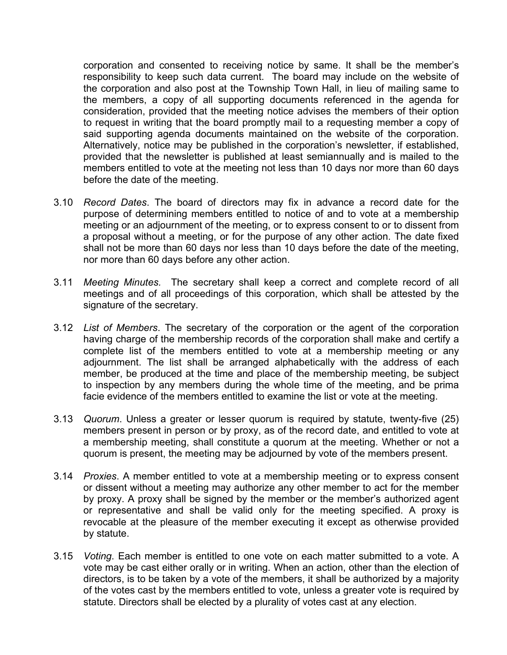corporation and consented to receiving notice by same. It shall be the member's responsibility to keep such data current. The board may include on the website of the corporation and also post at the Township Town Hall, in lieu of mailing same to the members, a copy of all supporting documents referenced in the agenda for consideration, provided that the meeting notice advises the members of their option to request in writing that the board promptly mail to a requesting member a copy of said supporting agenda documents maintained on the website of the corporation. Alternatively, notice may be published in the corporation's newsletter, if established, provided that the newsletter is published at least semiannually and is mailed to the members entitled to vote at the meeting not less than 10 days nor more than 60 days before the date of the meeting.

- 3.10 *Record Dates*. The board of directors may fix in advance a record date for the purpose of determining members entitled to notice of and to vote at a membership meeting or an adjournment of the meeting, or to express consent to or to dissent from a proposal without a meeting, or for the purpose of any other action. The date fixed shall not be more than 60 days nor less than 10 days before the date of the meeting, nor more than 60 days before any other action.
- 3.11 *Meeting Minutes.* The secretary shall keep a correct and complete record of all meetings and of all proceedings of this corporation, which shall be attested by the signature of the secretary.
- 3.12 *List of Members*. The secretary of the corporation or the agent of the corporation having charge of the membership records of the corporation shall make and certify a complete list of the members entitled to vote at a membership meeting or any adjournment. The list shall be arranged alphabetically with the address of each member, be produced at the time and place of the membership meeting, be subject to inspection by any members during the whole time of the meeting, and be prima facie evidence of the members entitled to examine the list or vote at the meeting.
- 3.13 *Quorum*. Unless a greater or lesser quorum is required by statute, twenty-five (25) members present in person or by proxy, as of the record date, and entitled to vote at a membership meeting, shall constitute a quorum at the meeting. Whether or not a quorum is present, the meeting may be adjourned by vote of the members present.
- 3.14 *Proxies*. A member entitled to vote at a membership meeting or to express consent or dissent without a meeting may authorize any other member to act for the member by proxy. A proxy shall be signed by the member or the member's authorized agent or representative and shall be valid only for the meeting specified. A proxy is revocable at the pleasure of the member executing it except as otherwise provided by statute.
- 3.15 *Voting*. Each member is entitled to one vote on each matter submitted to a vote. A vote may be cast either orally or in writing. When an action, other than the election of directors, is to be taken by a vote of the members, it shall be authorized by a majority of the votes cast by the members entitled to vote, unless a greater vote is required by statute. Directors shall be elected by a plurality of votes cast at any election.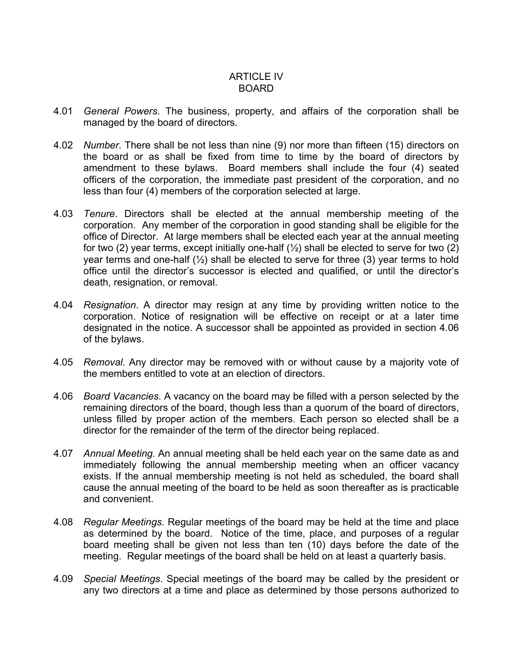## ARTICLE IV BOARD

- 4.01 *General Powers*. The business, property, and affairs of the corporation shall be managed by the board of directors.
- 4.02 *Number*. There shall be not less than nine (9) nor more than fifteen (15) directors on the board or as shall be fixed from time to time by the board of directors by amendment to these bylaws. Board members shall include the four (4) seated officers of the corporation, the immediate past president of the corporation, and no less than four (4) members of the corporation selected at large.
- 4.03 *Tenure*. Directors shall be elected at the annual membership meeting of the corporation. Any member of the corporation in good standing shall be eligible for the office of Director. At large members shall be elected each year at the annual meeting for two (2) year terms, except initially one-half  $(\frac{1}{2})$  shall be elected to serve for two (2) year terms and one-half  $(\frac{1}{2})$  shall be elected to serve for three (3) year terms to hold office until the director's successor is elected and qualified, or until the director's death, resignation, or removal.
- 4.04 *Resignation*. A director may resign at any time by providing written notice to the corporation. Notice of resignation will be effective on receipt or at a later time designated in the notice. A successor shall be appointed as provided in section 4.06 of the bylaws.
- 4.05 *Removal*. Any director may be removed with or without cause by a majority vote of the members entitled to vote at an election of directors.
- 4.06 *Board Vacancies*. A vacancy on the board may be filled with a person selected by the remaining directors of the board, though less than a quorum of the board of directors, unless filled by proper action of the members. Each person so elected shall be a director for the remainder of the term of the director being replaced.
- 4.07 *Annual Meeting*. An annual meeting shall be held each year on the same date as and immediately following the annual membership meeting when an officer vacancy exists. If the annual membership meeting is not held as scheduled, the board shall cause the annual meeting of the board to be held as soon thereafter as is practicable and convenient.
- 4.08 *Regular Meetings*. Regular meetings of the board may be held at the time and place as determined by the board. Notice of the time, place, and purposes of a regular board meeting shall be given not less than ten (10) days before the date of the meeting. Regular meetings of the board shall be held on at least a quarterly basis.
- 4.09 *Special Meetings*. Special meetings of the board may be called by the president or any two directors at a time and place as determined by those persons authorized to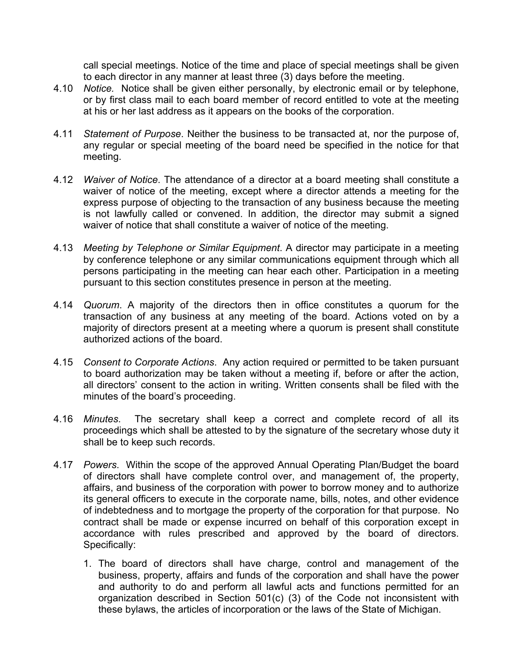call special meetings. Notice of the time and place of special meetings shall be given to each director in any manner at least three (3) days before the meeting.

- 4.10 *Notice.* Notice shall be given either personally, by electronic email or by telephone, or by first class mail to each board member of record entitled to vote at the meeting at his or her last address as it appears on the books of the corporation.
- 4.11 *Statement of Purpose*. Neither the business to be transacted at, nor the purpose of, any regular or special meeting of the board need be specified in the notice for that meeting.
- 4.12 *Waiver of Notice*. The attendance of a director at a board meeting shall constitute a waiver of notice of the meeting, except where a director attends a meeting for the express purpose of objecting to the transaction of any business because the meeting is not lawfully called or convened. In addition, the director may submit a signed waiver of notice that shall constitute a waiver of notice of the meeting.
- 4.13 *Meeting by Telephone or Similar Equipment*. A director may participate in a meeting by conference telephone or any similar communications equipment through which all persons participating in the meeting can hear each other. Participation in a meeting pursuant to this section constitutes presence in person at the meeting.
- 4.14 *Quorum*. A majority of the directors then in office constitutes a quorum for the transaction of any business at any meeting of the board. Actions voted on by a majority of directors present at a meeting where a quorum is present shall constitute authorized actions of the board.
- 4.15 *Consent to Corporate Actions*. Any action required or permitted to be taken pursuant to board authorization may be taken without a meeting if, before or after the action, all directors' consent to the action in writing. Written consents shall be filed with the minutes of the board's proceeding.
- 4.16 *Minutes*. The secretary shall keep a correct and complete record of all its proceedings which shall be attested to by the signature of the secretary whose duty it shall be to keep such records.
- 4.17 *Powers*. Within the scope of the approved Annual Operating Plan/Budget the board of directors shall have complete control over, and management of, the property, affairs, and business of the corporation with power to borrow money and to authorize its general officers to execute in the corporate name, bills, notes, and other evidence of indebtedness and to mortgage the property of the corporation for that purpose. No contract shall be made or expense incurred on behalf of this corporation except in accordance with rules prescribed and approved by the board of directors. Specifically:
	- 1. The board of directors shall have charge, control and management of the business, property, affairs and funds of the corporation and shall have the power and authority to do and perform all lawful acts and functions permitted for an organization described in Section 501(c) (3) of the Code not inconsistent with these bylaws, the articles of incorporation or the laws of the State of Michigan.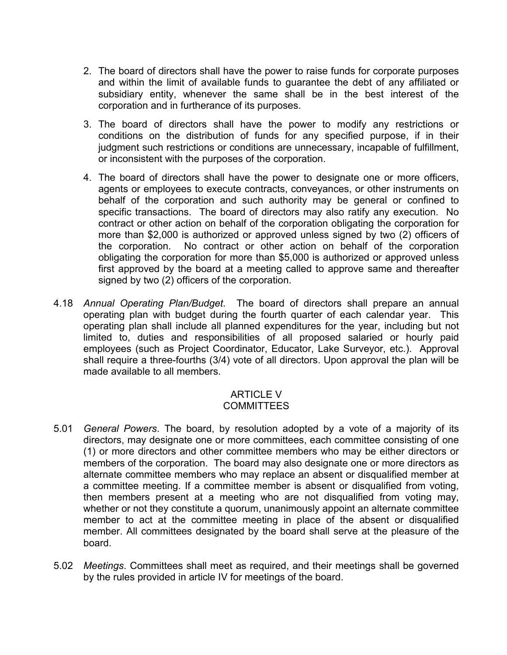- 2. The board of directors shall have the power to raise funds for corporate purposes and within the limit of available funds to guarantee the debt of any affiliated or subsidiary entity, whenever the same shall be in the best interest of the corporation and in furtherance of its purposes.
- 3. The board of directors shall have the power to modify any restrictions or conditions on the distribution of funds for any specified purpose, if in their judgment such restrictions or conditions are unnecessary, incapable of fulfillment, or inconsistent with the purposes of the corporation.
- 4. The board of directors shall have the power to designate one or more officers, agents or employees to execute contracts, conveyances, or other instruments on behalf of the corporation and such authority may be general or confined to specific transactions. The board of directors may also ratify any execution. No contract or other action on behalf of the corporation obligating the corporation for more than \$2,000 is authorized or approved unless signed by two (2) officers of the corporation. No contract or other action on behalf of the corporation obligating the corporation for more than \$5,000 is authorized or approved unless first approved by the board at a meeting called to approve same and thereafter signed by two (2) officers of the corporation.
- 4.18 *Annual Operating Plan/Budget*. The board of directors shall prepare an annual operating plan with budget during the fourth quarter of each calendar year. This operating plan shall include all planned expenditures for the year, including but not limited to, duties and responsibilities of all proposed salaried or hourly paid employees (such as Project Coordinator, Educator, Lake Surveyor, etc.). Approval shall require a three-fourths (3/4) vote of all directors. Upon approval the plan will be made available to all members.

#### ARTICLE V **COMMITTEES**

- 5.01 *General Powers*. The board, by resolution adopted by a vote of a majority of its directors, may designate one or more committees, each committee consisting of one (1) or more directors and other committee members who may be either directors or members of the corporation. The board may also designate one or more directors as alternate committee members who may replace an absent or disqualified member at a committee meeting. If a committee member is absent or disqualified from voting, then members present at a meeting who are not disqualified from voting may, whether or not they constitute a quorum, unanimously appoint an alternate committee member to act at the committee meeting in place of the absent or disqualified member. All committees designated by the board shall serve at the pleasure of the board.
- 5.02 *Meetings*. Committees shall meet as required, and their meetings shall be governed by the rules provided in article IV for meetings of the board.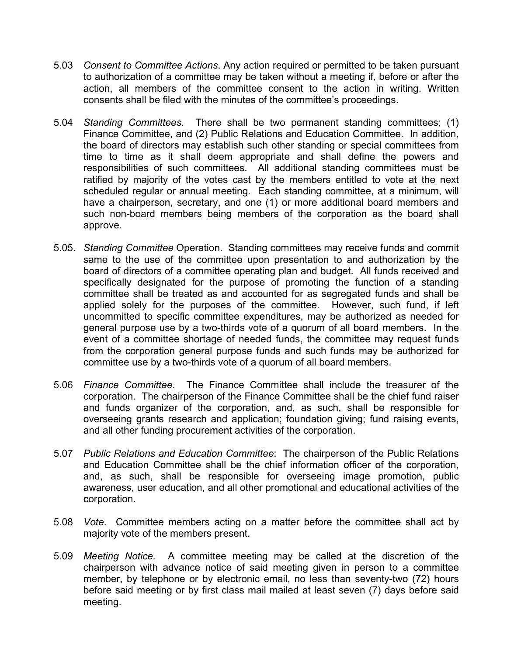- 5.03 *Consent to Committee Actions*. Any action required or permitted to be taken pursuant to authorization of a committee may be taken without a meeting if, before or after the action, all members of the committee consent to the action in writing. Written consents shall be filed with the minutes of the committee's proceedings.
- 5.04 *Standing Committees.* There shall be two permanent standing committees; (1) Finance Committee, and (2) Public Relations and Education Committee. In addition, the board of directors may establish such other standing or special committees from time to time as it shall deem appropriate and shall define the powers and responsibilities of such committees. All additional standing committees must be ratified by majority of the votes cast by the members entitled to vote at the next scheduled regular or annual meeting. Each standing committee, at a minimum, will have a chairperson, secretary, and one (1) or more additional board members and such non-board members being members of the corporation as the board shall approve.
- 5.05. *Standing Committee* Operation. Standing committees may receive funds and commit same to the use of the committee upon presentation to and authorization by the board of directors of a committee operating plan and budget. All funds received and specifically designated for the purpose of promoting the function of a standing committee shall be treated as and accounted for as segregated funds and shall be applied solely for the purposes of the committee. However, such fund, if left uncommitted to specific committee expenditures, may be authorized as needed for general purpose use by a two-thirds vote of a quorum of all board members. In the event of a committee shortage of needed funds, the committee may request funds from the corporation general purpose funds and such funds may be authorized for committee use by a two-thirds vote of a quorum of all board members.
- 5.06 *Finance Committee*. The Finance Committee shall include the treasurer of the corporation. The chairperson of the Finance Committee shall be the chief fund raiser and funds organizer of the corporation, and, as such, shall be responsible for overseeing grants research and application; foundation giving; fund raising events, and all other funding procurement activities of the corporation.
- 5.07 *Public Relations and Education Committee*: The chairperson of the Public Relations and Education Committee shall be the chief information officer of the corporation, and, as such, shall be responsible for overseeing image promotion, public awareness, user education, and all other promotional and educational activities of the corporation.
- 5.08 *Vote*. Committee members acting on a matter before the committee shall act by majority vote of the members present.
- 5.09 *Meeting Notice.* A committee meeting may be called at the discretion of the chairperson with advance notice of said meeting given in person to a committee member, by telephone or by electronic email, no less than seventy-two (72) hours before said meeting or by first class mail mailed at least seven (7) days before said meeting.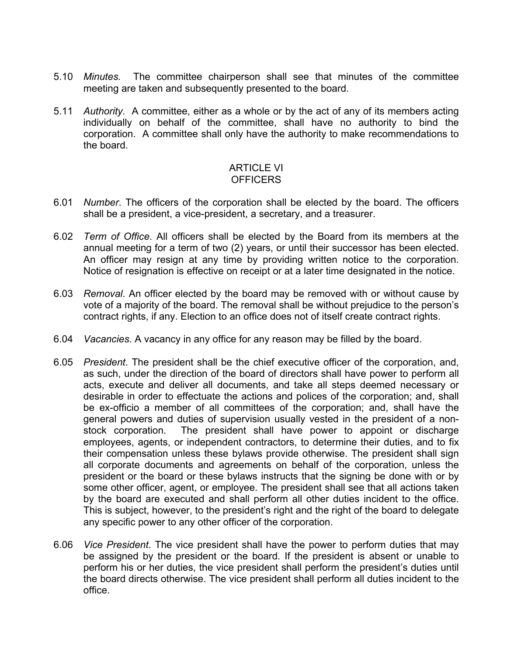- 5.10 *Minutes.* The committee chairperson shall see that minutes of the committee meeting are taken and subsequently presented to the board.
- 5.11 *Authority.* A committee, either as a whole or by the act of any of its members acting individually on behalf of the committee, shall have no authority to bind the corporation. A committee shall only have the authority to make recommendations to the board.

#### ARTICLE VI **OFFICERS**

- 6.01 *Number*. The officers of the corporation shall be elected by the board. The officers shall be a president, a vice-president, a secretary, and a treasurer.
- 6.02 *Term of Office*. All officers shall be elected by the Board from its members at the annual meeting for a term of two (2) years, or until their successor has been elected. An officer may resign at any time by providing written notice to the corporation. Notice of resignation is effective on receipt or at a later time designated in the notice.
- 6.03 *Removal*. An officer elected by the board may be removed with or without cause by vote of a majority of the board. The removal shall be without prejudice to the person's contract rights, if any. Election to an office does not of itself create contract rights.
- 6.04 *Vacancies*. A vacancy in any office for any reason may be filled by the board.
- 6.05 *President*. The president shall be the chief executive officer of the corporation, and, as such, under the direction of the board of directors shall have power to perform all acts, execute and deliver all documents, and take all steps deemed necessary or desirable in order to effectuate the actions and polices of the corporation; and, shall be ex-officio a member of all committees of the corporation; and, shall have the general powers and duties of supervision usually vested in the president of a nonstock corporation. The president shall have power to appoint or discharge employees, agents, or independent contractors, to determine their duties, and to fix their compensation unless these bylaws provide otherwise. The president shall sign all corporate documents and agreements on behalf of the corporation, unless the president or the board or these bylaws instructs that the signing be done with or by some other officer, agent, or employee. The president shall see that all actions taken by the board are executed and shall perform all other duties incident to the office. This is subject, however, to the president's right and the right of the board to delegate any specific power to any other officer of the corporation.
- 6.06 *Vice President*. The vice president shall have the power to perform duties that may be assigned by the president or the board. If the president is absent or unable to perform his or her duties, the vice president shall perform the president's duties until the board directs otherwise. The vice president shall perform all duties incident to the office.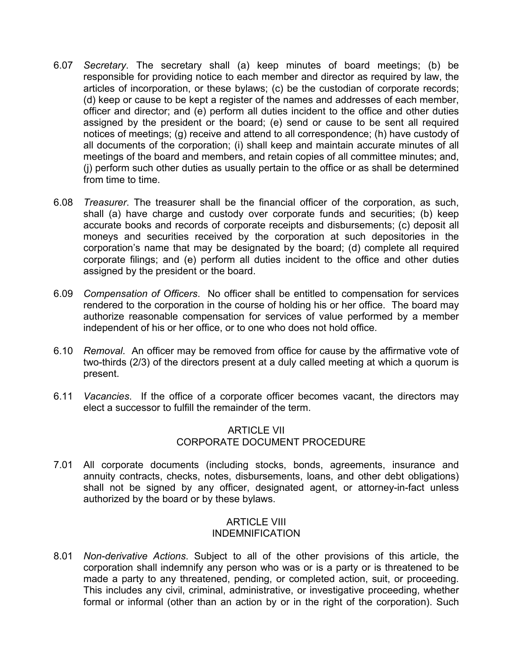- 6.07 *Secretary*. The secretary shall (a) keep minutes of board meetings; (b) be responsible for providing notice to each member and director as required by law, the articles of incorporation, or these bylaws; (c) be the custodian of corporate records; (d) keep or cause to be kept a register of the names and addresses of each member, officer and director; and (e) perform all duties incident to the office and other duties assigned by the president or the board; (e) send or cause to be sent all required notices of meetings; (g) receive and attend to all correspondence; (h) have custody of all documents of the corporation; (i) shall keep and maintain accurate minutes of all meetings of the board and members, and retain copies of all committee minutes; and, (j) perform such other duties as usually pertain to the office or as shall be determined from time to time.
- 6.08 *Treasurer*. The treasurer shall be the financial officer of the corporation, as such, shall (a) have charge and custody over corporate funds and securities; (b) keep accurate books and records of corporate receipts and disbursements; (c) deposit all moneys and securities received by the corporation at such depositories in the corporation's name that may be designated by the board; (d) complete all required corporate filings; and (e) perform all duties incident to the office and other duties assigned by the president or the board.
- 6.09 *Compensation of Officers*. No officer shall be entitled to compensation for services rendered to the corporation in the course of holding his or her office. The board may authorize reasonable compensation for services of value performed by a member independent of his or her office, or to one who does not hold office.
- 6.10 *Removal*. An officer may be removed from office for cause by the affirmative vote of two-thirds (2/3) of the directors present at a duly called meeting at which a quorum is present.
- 6.11 *Vacancies*. If the office of a corporate officer becomes vacant, the directors may elect a successor to fulfill the remainder of the term.

# ARTICLE VII CORPORATE DOCUMENT PROCEDURE

7.01 All corporate documents (including stocks, bonds, agreements, insurance and annuity contracts, checks, notes, disbursements, loans, and other debt obligations) shall not be signed by any officer, designated agent, or attorney-in-fact unless authorized by the board or by these bylaws.

## ARTICLE VIII INDEMNIFICATION

8.01 *Non-derivative Actions*. Subject to all of the other provisions of this article, the corporation shall indemnify any person who was or is a party or is threatened to be made a party to any threatened, pending, or completed action, suit, or proceeding. This includes any civil, criminal, administrative, or investigative proceeding, whether formal or informal (other than an action by or in the right of the corporation). Such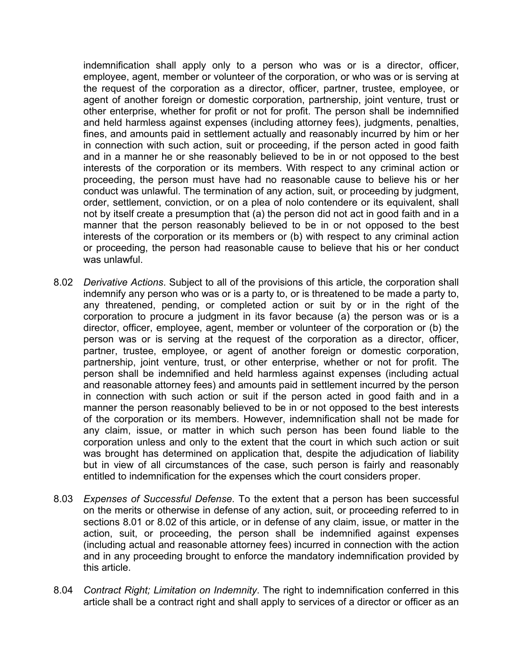indemnification shall apply only to a person who was or is a director, officer, employee, agent, member or volunteer of the corporation, or who was or is serving at the request of the corporation as a director, officer, partner, trustee, employee, or agent of another foreign or domestic corporation, partnership, joint venture, trust or other enterprise, whether for profit or not for profit. The person shall be indemnified and held harmless against expenses (including attorney fees), judgments, penalties, fines, and amounts paid in settlement actually and reasonably incurred by him or her in connection with such action, suit or proceeding, if the person acted in good faith and in a manner he or she reasonably believed to be in or not opposed to the best interests of the corporation or its members. With respect to any criminal action or proceeding, the person must have had no reasonable cause to believe his or her conduct was unlawful. The termination of any action, suit, or proceeding by judgment, order, settlement, conviction, or on a plea of nolo contendere or its equivalent, shall not by itself create a presumption that (a) the person did not act in good faith and in a manner that the person reasonably believed to be in or not opposed to the best interests of the corporation or its members or (b) with respect to any criminal action or proceeding, the person had reasonable cause to believe that his or her conduct was unlawful.

- 8.02 *Derivative Actions*. Subject to all of the provisions of this article, the corporation shall indemnify any person who was or is a party to, or is threatened to be made a party to, any threatened, pending, or completed action or suit by or in the right of the corporation to procure a judgment in its favor because (a) the person was or is a director, officer, employee, agent, member or volunteer of the corporation or (b) the person was or is serving at the request of the corporation as a director, officer, partner, trustee, employee, or agent of another foreign or domestic corporation, partnership, joint venture, trust, or other enterprise, whether or not for profit. The person shall be indemnified and held harmless against expenses (including actual and reasonable attorney fees) and amounts paid in settlement incurred by the person in connection with such action or suit if the person acted in good faith and in a manner the person reasonably believed to be in or not opposed to the best interests of the corporation or its members. However, indemnification shall not be made for any claim, issue, or matter in which such person has been found liable to the corporation unless and only to the extent that the court in which such action or suit was brought has determined on application that, despite the adjudication of liability but in view of all circumstances of the case, such person is fairly and reasonably entitled to indemnification for the expenses which the court considers proper.
- 8.03 *Expenses of Successful Defense*. To the extent that a person has been successful on the merits or otherwise in defense of any action, suit, or proceeding referred to in sections 8.01 or 8.02 of this article, or in defense of any claim, issue, or matter in the action, suit, or proceeding, the person shall be indemnified against expenses (including actual and reasonable attorney fees) incurred in connection with the action and in any proceeding brought to enforce the mandatory indemnification provided by this article.
- 8.04 *Contract Right; Limitation on Indemnity*. The right to indemnification conferred in this article shall be a contract right and shall apply to services of a director or officer as an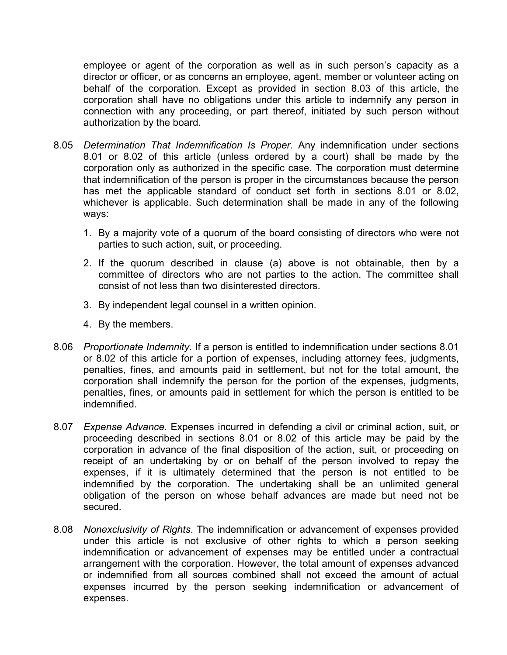employee or agent of the corporation as well as in such person's capacity as a director or officer, or as concerns an employee, agent, member or volunteer acting on behalf of the corporation. Except as provided in section 8.03 of this article, the corporation shall have no obligations under this article to indemnify any person in connection with any proceeding, or part thereof, initiated by such person without authorization by the board.

- 8.05 *Determination That Indemnification Is Proper*. Any indemnification under sections 8.01 or 8.02 of this article (unless ordered by a court) shall be made by the corporation only as authorized in the specific case. The corporation must determine that indemnification of the person is proper in the circumstances because the person has met the applicable standard of conduct set forth in sections 8.01 or 8.02, whichever is applicable. Such determination shall be made in any of the following ways:
	- 1. By a majority vote of a quorum of the board consisting of directors who were not parties to such action, suit, or proceeding.
	- 2. If the quorum described in clause (a) above is not obtainable, then by a committee of directors who are not parties to the action. The committee shall consist of not less than two disinterested directors.
	- 3. By independent legal counsel in a written opinion.
	- 4. By the members.
- 8.06 *Proportionate Indemnity*. If a person is entitled to indemnification under sections 8.01 or 8.02 of this article for a portion of expenses, including attorney fees, judgments, penalties, fines, and amounts paid in settlement, but not for the total amount, the corporation shall indemnify the person for the portion of the expenses, judgments, penalties, fines, or amounts paid in settlement for which the person is entitled to be indemnified.
- 8.07 *Expense Advance*. Expenses incurred in defending a civil or criminal action, suit, or proceeding described in sections 8.01 or 8.02 of this article may be paid by the corporation in advance of the final disposition of the action, suit, or proceeding on receipt of an undertaking by or on behalf of the person involved to repay the expenses, if it is ultimately determined that the person is not entitled to be indemnified by the corporation. The undertaking shall be an unlimited general obligation of the person on whose behalf advances are made but need not be secured.
- 8.08 *Nonexclusivity of Rights*. The indemnification or advancement of expenses provided under this article is not exclusive of other rights to which a person seeking indemnification or advancement of expenses may be entitled under a contractual arrangement with the corporation. However, the total amount of expenses advanced or indemnified from all sources combined shall not exceed the amount of actual expenses incurred by the person seeking indemnification or advancement of expenses.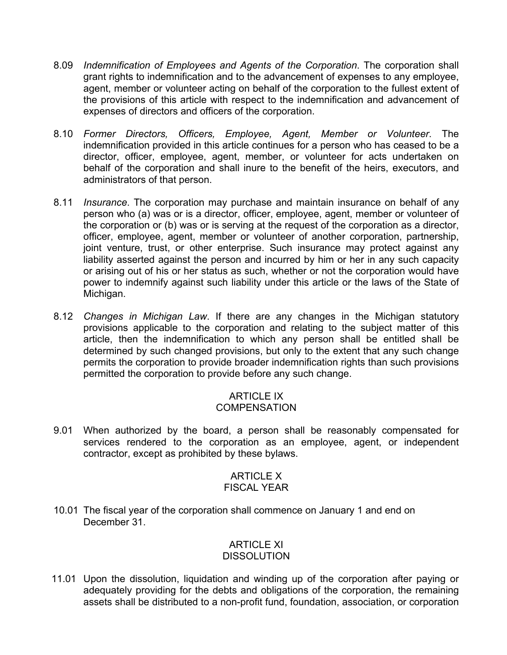- 8.09 *Indemnification of Employees and Agents of the Corporation*. The corporation shall grant rights to indemnification and to the advancement of expenses to any employee, agent, member or volunteer acting on behalf of the corporation to the fullest extent of the provisions of this article with respect to the indemnification and advancement of expenses of directors and officers of the corporation.
- 8.10 *Former Directors, Officers, Employee, Agent, Member or Volunteer*. The indemnification provided in this article continues for a person who has ceased to be a director, officer, employee, agent, member, or volunteer for acts undertaken on behalf of the corporation and shall inure to the benefit of the heirs, executors, and administrators of that person.
- 8.11 *Insurance*. The corporation may purchase and maintain insurance on behalf of any person who (a) was or is a director, officer, employee, agent, member or volunteer of the corporation or (b) was or is serving at the request of the corporation as a director, officer, employee, agent, member or volunteer of another corporation, partnership, joint venture, trust, or other enterprise. Such insurance may protect against any liability asserted against the person and incurred by him or her in any such capacity or arising out of his or her status as such, whether or not the corporation would have power to indemnify against such liability under this article or the laws of the State of Michigan.
- 8.12 *Changes in Michigan Law*. If there are any changes in the Michigan statutory provisions applicable to the corporation and relating to the subject matter of this article, then the indemnification to which any person shall be entitled shall be determined by such changed provisions, but only to the extent that any such change permits the corporation to provide broader indemnification rights than such provisions permitted the corporation to provide before any such change.

## ARTICLE IX **COMPENSATION**

9.01 When authorized by the board, a person shall be reasonably compensated for services rendered to the corporation as an employee, agent, or independent contractor, except as prohibited by these bylaws.

## ARTICLE X FISCAL YEAR

10.01 The fiscal year of the corporation shall commence on January 1 and end on December 31.

### ARTICLE XI **DISSOLUTION**

 11.01 Upon the dissolution, liquidation and winding up of the corporation after paying or adequately providing for the debts and obligations of the corporation, the remaining assets shall be distributed to a non-profit fund, foundation, association, or corporation